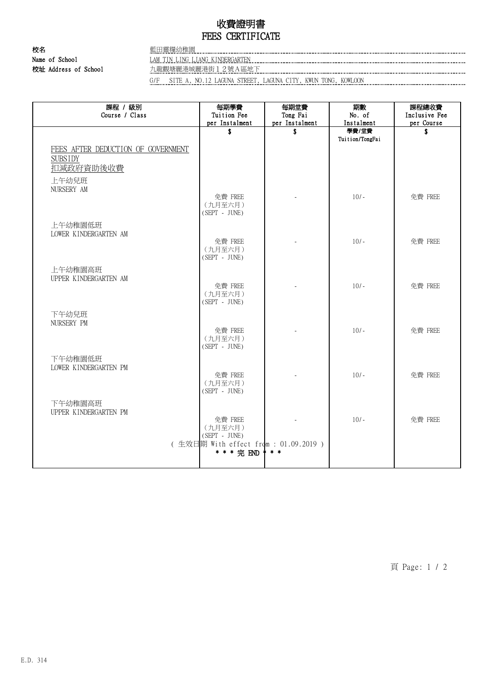## 收費證明書 FEES CERTIFICATE

校名 またま こうしょう 藍田靈糧幼稚園 Name of School Manual LAM TIN LING LIANG KINDERGARTEN 校址 Address of School 九龍觀塘麗港城麗港街12號A區地下

G/F SITE A, NO.12 LAGUNA STREET, LAGUNA CITY, KWUN TONG, KOWLOON

| 課程 / 級別<br>Course / Class          | 每期學費<br>Tuition Fee                   | 每期堂費<br>Tong Fai | 期數<br>No. of             | 課程總收費<br>Inclusive Fee |
|------------------------------------|---------------------------------------|------------------|--------------------------|------------------------|
|                                    | per Instalment                        | per Instalment   | Instalment               | per Course             |
|                                    | \$                                    | \$               | 學費/堂費<br>Tuition/TongFai | \$                     |
|                                    |                                       |                  |                          |                        |
| FEES AFTER DEDUCTION OF GOVERNMENT |                                       |                  |                          |                        |
| <b>SUBSIDY</b>                     |                                       |                  |                          |                        |
| 扣減政府資助後收費                          |                                       |                  |                          |                        |
| 上午幼兒班                              |                                       |                  |                          |                        |
| NURSERY AM                         |                                       |                  |                          |                        |
|                                    | 免費 FREE<br>(九月至六月)                    |                  | $10/-$                   | 免費 FREE                |
|                                    | $(SEPT - JUNE)$                       |                  |                          |                        |
| 上午幼稚園低班                            |                                       |                  |                          |                        |
| LOWER KINDERGARTEN AM              |                                       |                  |                          |                        |
|                                    | 免費 FREE                               |                  | $10/-$                   | 免費 FREE                |
|                                    | (九月至六月)                               |                  |                          |                        |
|                                    | $(SEPT - JUNE)$                       |                  |                          |                        |
| 上午幼稚園高班                            |                                       |                  |                          |                        |
| UPPER KINDERGARTEN AM              |                                       |                  |                          |                        |
|                                    | 免費 FREE                               |                  | $10/-$                   | 免費 FREE                |
|                                    | (九月至六月)<br>$(SEPT - JUNE)$            |                  |                          |                        |
|                                    |                                       |                  |                          |                        |
| 下午幼兒班<br>NURSERY PM                |                                       |                  |                          |                        |
|                                    | 免費 FREE                               |                  | $10/-$                   | 免費 FREE                |
|                                    | (九月至六月)                               |                  |                          |                        |
|                                    | (SEPT - JUNE)                         |                  |                          |                        |
| 下午幼稚園低班                            |                                       |                  |                          |                        |
| LOWER KINDERGARTEN PM              |                                       |                  |                          |                        |
|                                    | 免費 FREE                               |                  | $10/-$                   | 免費 FREE                |
|                                    | (九月至六月)<br>(SEPT - JUNE)              |                  |                          |                        |
|                                    |                                       |                  |                          |                        |
| 下午幼稚園高班                            |                                       |                  |                          |                        |
| UPPER KINDERGARTEN PM              | 免費 FREE                               |                  | $10/-$                   | 免費 FREE                |
|                                    | (九月至六月)                               |                  |                          |                        |
|                                    | (SEPT - JUNE)                         |                  |                          |                        |
|                                    | (生效日期 With effect from : 01.09.2019 ) |                  |                          |                        |
|                                    | * * * 完 END                           | $* *$            |                          |                        |
|                                    |                                       |                  |                          |                        |

頁 Page: 1 / 2